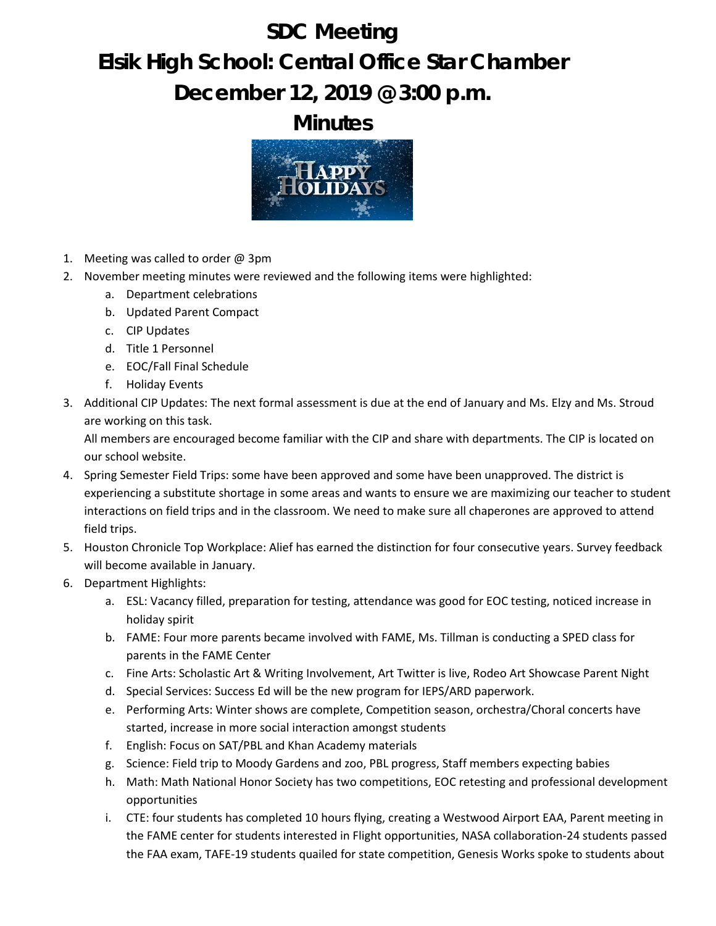## **SDC Meeting Elsik High School: Central Office Star Chamber December 12, 2019 @ 3:00 p.m.**

**Minutes**



- 1. Meeting was called to order  $\omega$  3pm
- 2. November meeting minutes were reviewed and the following items were highlighted:
	- a. Department celebrations
	- b. Updated Parent Compact
	- c. CIP Updates
	- d. Title 1 Personnel
	- e. EOC/Fall Final Schedule
	- f. Holiday Events
- 3. Additional CIP Updates: The next formal assessment is due at the end of January and Ms. Elzy and Ms. Stroud are working on this task.

All members are encouraged become familiar with the CIP and share with departments. The CIP is located on our school website.

- 4. Spring Semester Field Trips: some have been approved and some have been unapproved. The district is experiencing a substitute shortage in some areas and wants to ensure we are maximizing our teacher to student interactions on field trips and in the classroom. We need to make sure all chaperones are approved to attend field trips.
- 5. Houston Chronicle Top Workplace: Alief has earned the distinction for four consecutive years. Survey feedback will become available in January.
- 6. Department Highlights:
	- a. ESL: Vacancy filled, preparation for testing, attendance was good for EOC testing, noticed increase in holiday spirit
	- b. FAME: Four more parents became involved with FAME, Ms. Tillman is conducting a SPED class for parents in the FAME Center
	- c. Fine Arts: Scholastic Art & Writing Involvement, Art Twitter is live, Rodeo Art Showcase Parent Night
	- d. Special Services: Success Ed will be the new program for IEPS/ARD paperwork.
	- e. Performing Arts: Winter shows are complete, Competition season, orchestra/Choral concerts have started, increase in more social interaction amongst students
	- f. English: Focus on SAT/PBL and Khan Academy materials
	- g. Science: Field trip to Moody Gardens and zoo, PBL progress, Staff members expecting babies
	- h. Math: Math National Honor Society has two competitions, EOC retesting and professional development opportunities
	- i. CTE: four students has completed 10 hours flying, creating a Westwood Airport EAA, Parent meeting in the FAME center for students interested in Flight opportunities, NASA collaboration-24 students passed the FAA exam, TAFE-19 students quailed for state competition, Genesis Works spoke to students about